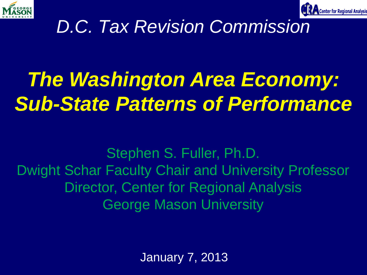



#### *D.C. Tax Revision Commission*

## *The Washington Area Economy: Sub-State Patterns of Performance*

Stephen S. Fuller, Ph.D. Dwight Schar Faculty Chair and University Professor Director, Center for Regional Analysis George Mason University

January 7, 2013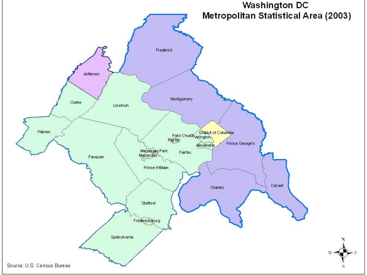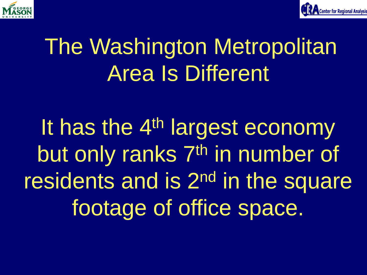



## The Washington Metropolitan Area Is Different

It has the 4<sup>th</sup> largest economy but only ranks 7<sup>th</sup> in number of residents and is 2nd in the square footage of office space.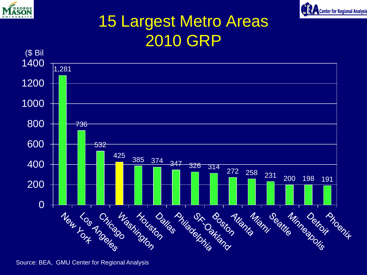



#### 15 Largest Metro Areas 2010 GRP



Source: BEA, GMU Center for Regional Analysis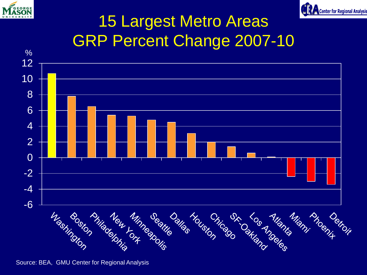



#### 15 Largest Metro Areas GRP Percent Change 2007-10



Source: BEA, GMU Center for Regional Analysis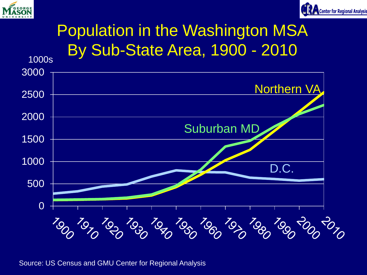



#### Population in the Washington MSA By Sub-State Area, 1900 - 2010



Source: US Census and GMU Center for Regional Analysis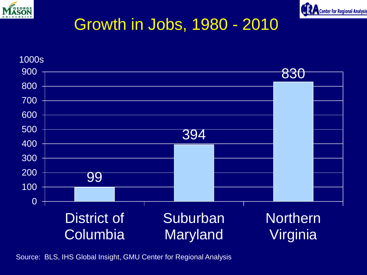



#### Growth in Jobs, 1980 - 2010



Source: BLS, IHS Global Insight, GMU Center for Regional Analysis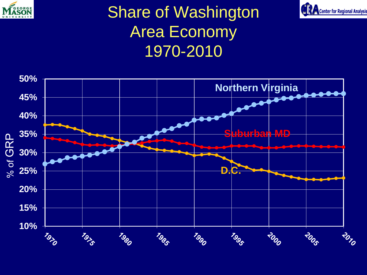

#### Share of Washington Area Economy 1970-2010



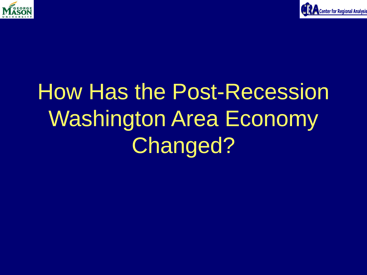



## How Has the Post-Recession Washington Area Economy Changed?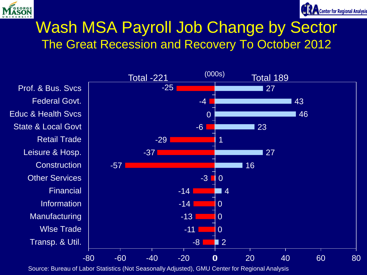



#### Wash MSA Payroll Job Change by Sector The Great Recession and Recovery To October 2012

Transp. & Util. Wlse Trade Manufacturing Information Financial Other Services **Construction** Leisure & Hosp. Retail Trade State & Local Govt Educ & Health Svcs Federal Govt. Prof. & Bus. Svcs

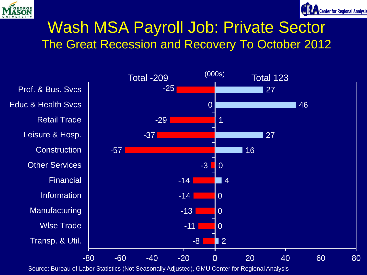



#### Wash MSA Payroll Job: Private Sector The Great Recession and Recovery To October 2012

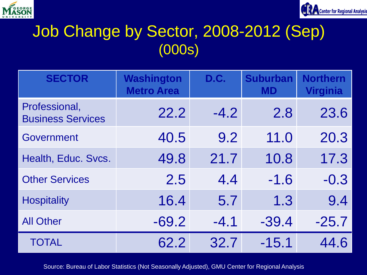



#### Job Change by Sector, 2008-2012 (Sep) (000s)

| <b>SECTOR</b>                             | <b>Washington</b><br><b>Metro Area</b> | D.C.   | <b>Suburban</b><br><b>MD</b> | <b>Northern</b><br><b>Virginia</b> |
|-------------------------------------------|----------------------------------------|--------|------------------------------|------------------------------------|
| Professional,<br><b>Business Services</b> | 22.2                                   | $-4.2$ | 2.8                          | 23.6                               |
| Government                                | 40.5                                   | 9.2    | 11.0                         | 20.3                               |
| Health, Educ. Svcs.                       | 49.8                                   | 21.7   | 10.8                         | 17.3                               |
| <b>Other Services</b>                     | 2.5                                    | 4.4    | $-1.6$                       | $-0.3$                             |
| <b>Hospitality</b>                        | 16.4                                   | 5.7    | 1.3                          | 9.4                                |
| <b>All Other</b>                          | $-69.2$                                | $-4.1$ | $-39.4$                      | $-25.7$                            |
| <b>TOTAL</b>                              | 62.2                                   | 32.7   | $-15.1$                      | 44.6                               |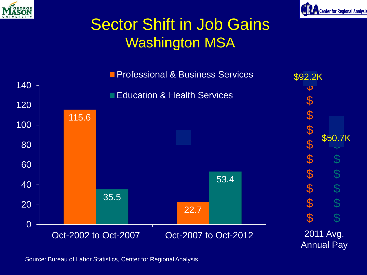



#### Sector Shift in Job Gains Washington MSA



Source: Bureau of Labor Statistics, Center for Regional Analysis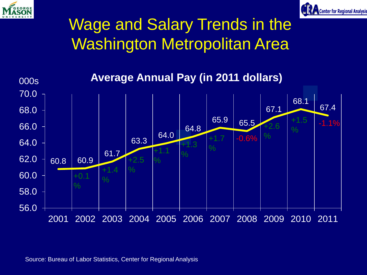



#### Wage and Salary Trends in the Washington Metropolitan Area

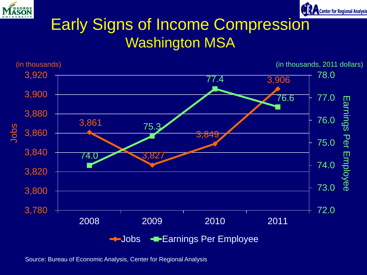



#### Early Signs of Income Compression Washington MSA



Source: Bureau of Economic Analysis, Center for Regional Analysis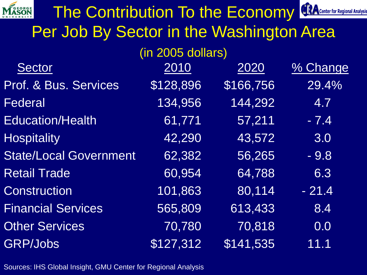| The Contribution To the Economy          |           |           | <b>CERA</b> Center for Regional Analysis |  |  |  |
|------------------------------------------|-----------|-----------|------------------------------------------|--|--|--|
| Per Job By Sector in the Washington Area |           |           |                                          |  |  |  |
| (in 2005 dollars)                        |           |           |                                          |  |  |  |
| <b>Sector</b>                            | 2010      | 2020      | % Change                                 |  |  |  |
| Prof. & Bus. Services                    | \$128,896 | \$166,756 | 29.4%                                    |  |  |  |
| Federal                                  | 134,956   | 144,292   | 4.7                                      |  |  |  |
| <b>Education/Health</b>                  | 61,771    | 57,211    | $-7.4$                                   |  |  |  |
| <b>Hospitality</b>                       | 42,290    | 43,572    | 3.0                                      |  |  |  |
| <b>State/Local Government</b>            | 62,382    | 56,265    | $-9.8$                                   |  |  |  |
| <b>Retail Trade</b>                      | 60,954    | 64,788    | 6.3                                      |  |  |  |
| Construction                             | 101,863   | 80,114    | $-21.4$                                  |  |  |  |
| <b>Financial Services</b>                | 565,809   | 613,433   | 8.4                                      |  |  |  |
| <b>Other Services</b>                    | 70,780    | 70,818    | 0.0                                      |  |  |  |
| <b>GRP/Jobs</b>                          | \$127,312 | \$141,535 | 11.1                                     |  |  |  |

Sources: IHS Global Insight, GMU Center for Regional Analysis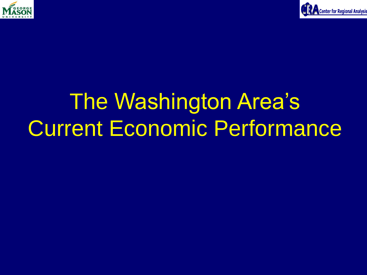



## The Washington Area's Current Economic Performance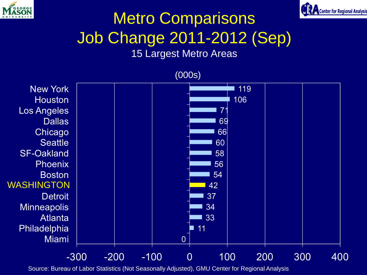



### Metro Comparisons Job Change 2011-2012 (Sep)

#### 15 Largest Metro Areas

(000s) **New York** 119 106 **Houston Los Angeles**  $\overline{7}$ **Dallas** 69 Chicago 66 **Seattle** 60 **SF-Oakland** 58 **Phoenix** 56 **Boston** 54 WASHINGTON42 **Detroit** 37 **Minneapolis** 34 **Atlanta** 33 Philadelphia  $11$ **Miami**  $\overline{0}$  $-300$  $-200$  $-100$  $\Omega$ 100 200 300 400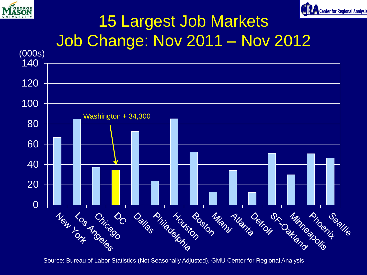



#### 15 Largest Job Markets Job Change: Nov 2011 – Nov 2012

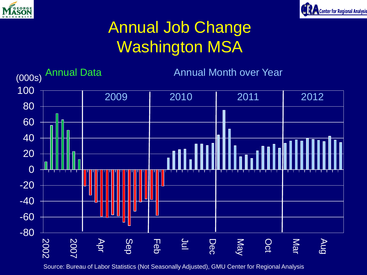



#### Annual Job Change Washington MSA

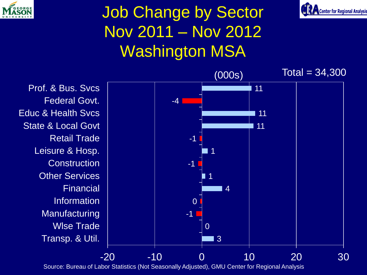

#### Job Change by Sector Nov 2011 – Nov 2012 Washington MSA



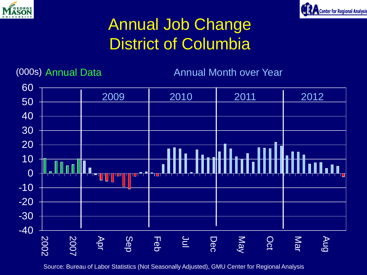



#### Annual Job Change District of Columbia

(000s) Annual Data Annual Month over Year

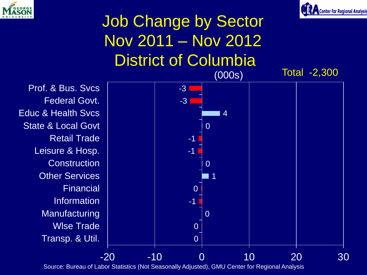



#### Job Change by Sector Nov 2011 – Nov 2012 District of Columbia (000s) Total -2,300

Transp. & Util. Wlse Trade **Manufacturing** Information **Financial** Other Services **Construction** Leisure & Hosp. Retail Trade State & Local Govt Educ & Health Svcs Federal Govt. Prof. & Bus. Svcs

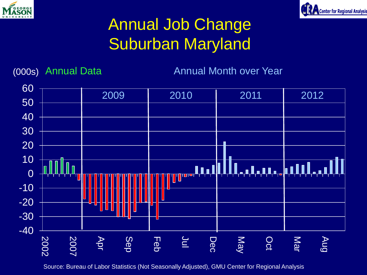



#### Annual Job Change Suburban Maryland

(000s) Annual Data **Annual Month over Year** 

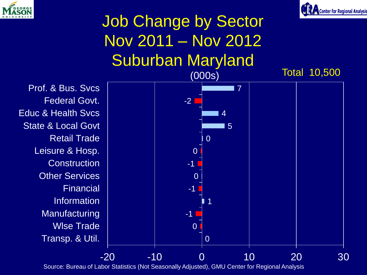



#### Job Change by Sector Nov 2011 – Nov 2012 Suburban Maryland (000s) Total 10,500

Transp. & Util. Wlse Trade **Manufacturing** Information **Financial** Other Services **Construction** Leisure & Hosp. Retail Trade State & Local Govt Educ & Health Svcs Federal Govt. Prof. & Bus. Svcs

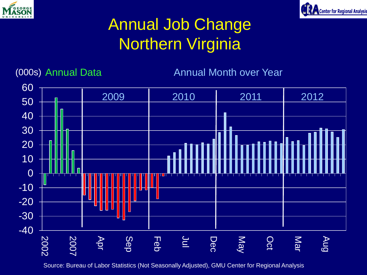



#### Annual Job Change Northern Virginia

(000s) Annual Data Annual Month over Year

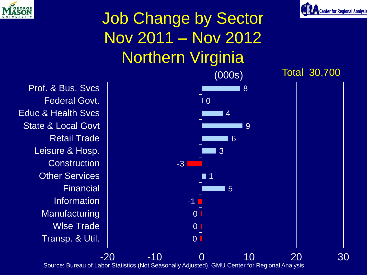



#### Job Change by Sector Nov 2011 – Nov 2012 Northern Virginia (000s) Total 30,700

Transp. & Util. Wlse Trade **Manufacturing** Information **Financial** Other Services **Construction** Leisure & Hosp. Retail Trade State & Local Govt Educ & Health Svcs Federal Govt. Prof. & Bus. Svcs

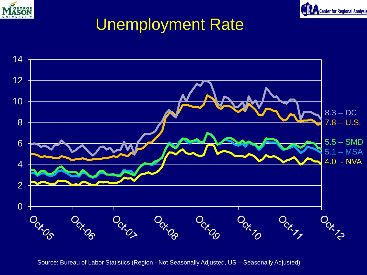![](_page_27_Picture_0.jpeg)

![](_page_27_Picture_1.jpeg)

#### Unemployment Rate

![](_page_27_Figure_3.jpeg)

Source: Bureau of Labor Statistics (Region - Not Seasonally Adjusted, US – Seasonally Adjusted)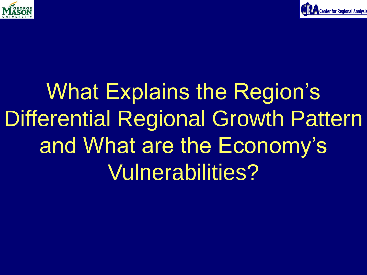![](_page_28_Picture_0.jpeg)

![](_page_28_Picture_1.jpeg)

## What Explains the Region's Differential Regional Growth Pattern and What are the Economy's Vulnerabilities?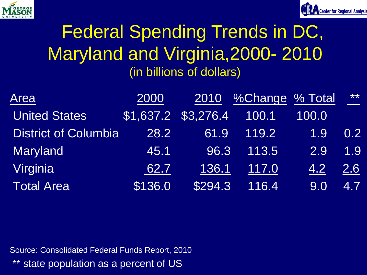![](_page_29_Picture_0.jpeg)

![](_page_29_Picture_1.jpeg)

#### Federal Spending Trends in DC, Maryland and Virginia,2000- 2010 (in billions of dollars)

| Area                        | 2000                |         | 2010 %Change % Total |       | $***$            |
|-----------------------------|---------------------|---------|----------------------|-------|------------------|
| <b>United States</b>        | \$1,637.2 \$3,276.4 |         | 100.1                | 100.0 |                  |
| <b>District of Columbia</b> | 28.2                | 61.9    | 119.2                | 1.9   | 0.2 <sub>1</sub> |
| <b>Maryland</b>             | 45.1                | 96.3    | 113.5                | 2.9   | 1.9              |
| Virginia                    | 62.7                | 136.1   | 117.0                | 4.2   | <u>2.6</u>       |
| <b>Total Area</b>           | \$136.0             | \$294.3 | 116.4                | 9.0   | 4.7              |

Source: Consolidated Federal Funds Report, 2010 \*\* state population as a percent of US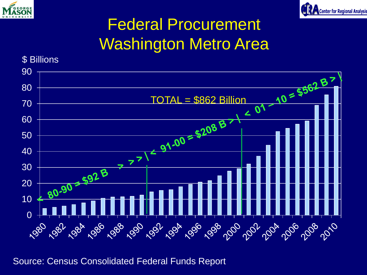![](_page_30_Picture_0.jpeg)

![](_page_30_Picture_1.jpeg)

#### Federal Procurement Washington Metro Area

![](_page_30_Figure_3.jpeg)

Source: Census Consolidated Federal Funds Report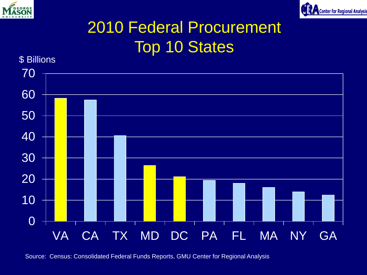![](_page_31_Picture_0.jpeg)

![](_page_31_Picture_1.jpeg)

#### 2010 Federal Procurement Top 10 States

![](_page_31_Figure_3.jpeg)

Source: Census: Consolidated Federal Funds Reports, GMU Center for Regional Analysis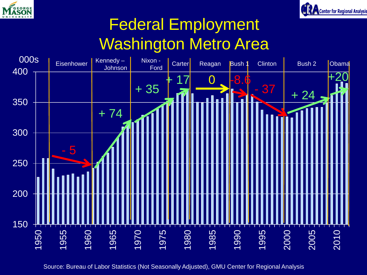![](_page_32_Picture_0.jpeg)

![](_page_32_Picture_1.jpeg)

#### Federal Employment Washington Metro Area

![](_page_32_Figure_3.jpeg)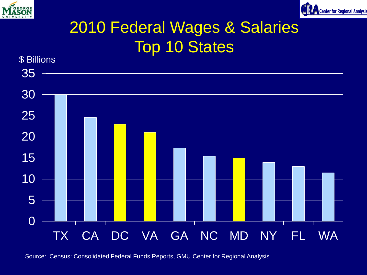![](_page_33_Picture_0.jpeg)

![](_page_33_Picture_1.jpeg)

#### 2010 Federal Wages & Salaries Top 10 States

![](_page_33_Figure_3.jpeg)

Source: Census: Consolidated Federal Funds Reports, GMU Center for Regional Analysis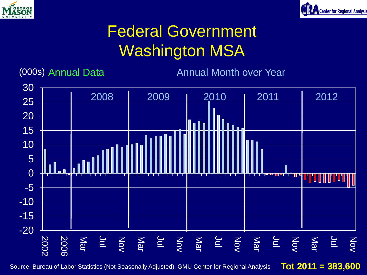![](_page_34_Picture_0.jpeg)

![](_page_34_Picture_1.jpeg)

#### Federal Government Washington MSA

(000s) Annual Data **Annual Month over Year** 

![](_page_34_Figure_5.jpeg)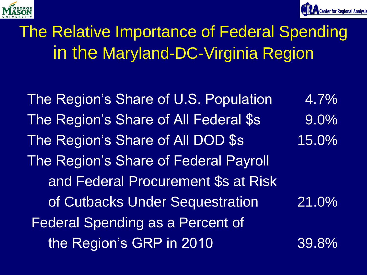![](_page_35_Picture_0.jpeg)

![](_page_35_Picture_1.jpeg)

#### The Relative Importance of Federal Spending in the Maryland-DC-Virginia Region

The Region's Share of U.S. Population 4.7% The Region's Share of All Federal \$s 9.0% The Region's Share of All DOD \$s 15.0% The Region's Share of Federal Payroll and Federal Procurement \$s at Risk of Cutbacks Under Sequestration 21.0% Federal Spending as a Percent of the Region's GRP in 2010 39.8%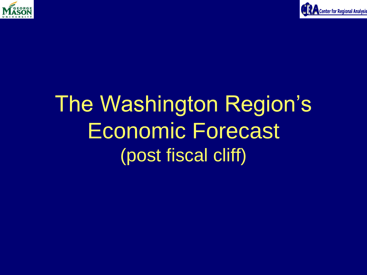![](_page_36_Picture_0.jpeg)

![](_page_36_Picture_1.jpeg)

## The Washington Region's Economic Forecast (post fiscal cliff)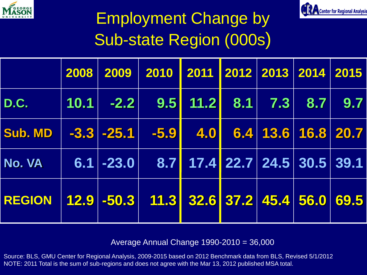![](_page_37_Picture_0.jpeg)

![](_page_37_Picture_1.jpeg)

### Employment Change by Sub-state Region (000s)

|                                                        |  | 2008 2009 2010 2011 2012 2013 2014 2015            |  |  |  |
|--------------------------------------------------------|--|----------------------------------------------------|--|--|--|
| <b>D.C.</b>                                            |  |                                                    |  |  |  |
| Sub. MD $\vert$ -3.3 -25.1 -5.9 4.0 6.4 13.6 16.8 20.7 |  |                                                    |  |  |  |
| No. VA                                                 |  | $6.1$ -23.0 $\boxed{8.7}$ 17.4 22.7 24.5 30.5 39.1 |  |  |  |
| REGION 12.9 -50.3 11.3 32.6 37.2 45.4 56.0 69.5        |  |                                                    |  |  |  |

Average Annual Change 1990-2010 = 36,000

Source: BLS, GMU Center for Regional Analysis, 2009-2015 based on 2012 Benchmark data from BLS, Revised 5/1/2012 NOTE: 2011 Total is the sum of sub-regions and does not agree with the Mar 13, 2012 published MSA total.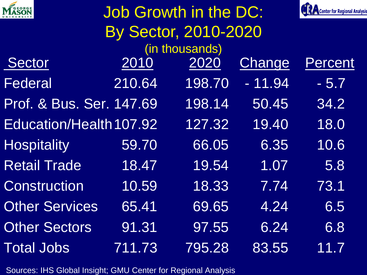| <b>MASON</b>             | <b>Job Growth in the DC:</b> |                |          |         |  |
|--------------------------|------------------------------|----------------|----------|---------|--|
|                          |                              |                |          |         |  |
|                          |                              | (in thousands) |          |         |  |
| Sector                   | 2010                         | 2020           | Change   | Percent |  |
| Federal                  | 210.64                       | 198.70         | $-11.94$ | $-5.7$  |  |
| Prof. & Bus. Ser. 147.69 |                              | 198.14         | 50.45    | 34.2    |  |
| Education/Health 107.92  |                              | 127.32         | 19.40    | 18.0    |  |
| <b>Hospitality</b>       | 59.70                        | 66.05          | 6.35     | 10.6    |  |
| <b>Retail Trade</b>      | 18.47                        | 19.54          | 1.07     | 5.8     |  |
| <b>Construction</b>      | 10.59                        | 18.33          | 7.74     | 73.1    |  |
| <b>Other Services</b>    | 65.41                        | 69.65          | 4.24     | 6.5     |  |
| <b>Other Sectors</b>     | 91.31                        | 97.55          | 6.24     | 6.8     |  |
| <b>Total Jobs</b>        | 711.73                       | 795.28         | 83.55    | 11.7    |  |

Sources: IHS Global Insight; GMU Center for Regional Analysis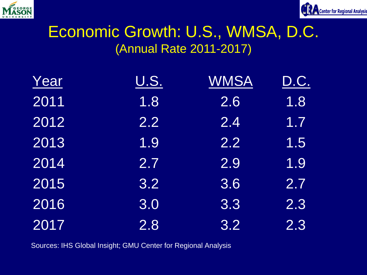![](_page_39_Picture_0.jpeg)

![](_page_39_Picture_1.jpeg)

#### Economic Growth: U.S., WMSA, D.C. (Annual Rate 2011-2017)

| Year | <u>U.S.</u> | <b>WMSA</b> | D.C. |
|------|-------------|-------------|------|
| 2011 | 1.8         | 2.6         | 1.8  |
| 2012 | 2.2         | 2.4         | 1.7  |
| 2013 | 1.9         | 2.2         | 1.5  |
| 2014 | 2.7         | 2.9         | 1.9  |
| 2015 | 3.2         | 3.6         | 2.7  |
| 2016 | 3.0         | 3.3         | 2.3  |
| 2017 | 2.8         | 3.2         | 2.3  |

Sources: IHS Global Insight; GMU Center for Regional Analysis